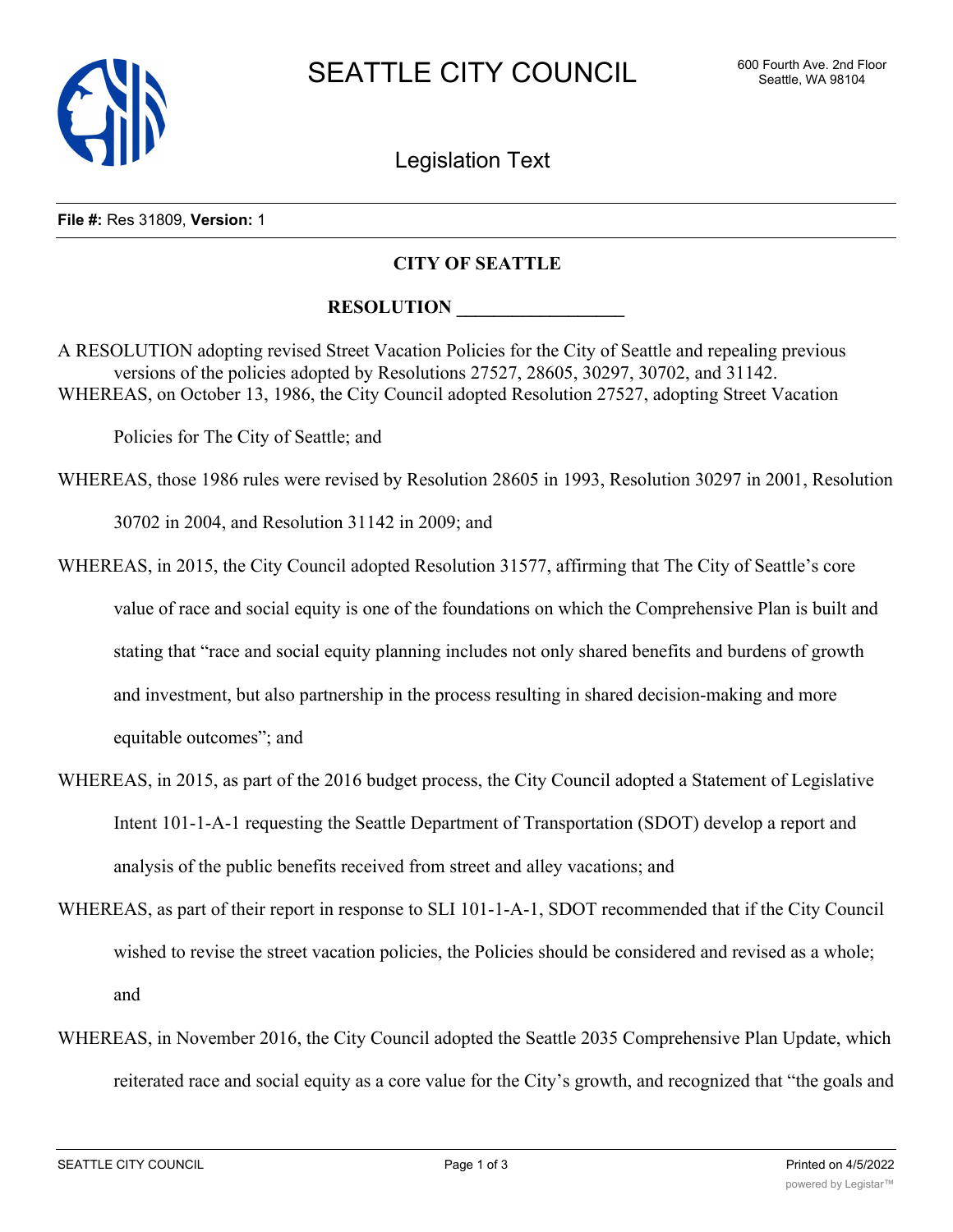

Legislation Text

## **File #:** Res 31809, **Version:** 1

## **CITY OF SEATTLE**

## **RESOLUTION**

A RESOLUTION adopting revised Street Vacation Policies for the City of Seattle and repealing previous versions of the policies adopted by Resolutions 27527, 28605, 30297, 30702, and 31142. WHEREAS, on October 13, 1986, the City Council adopted Resolution 27527, adopting Street Vacation

Policies for The City of Seattle; and

WHEREAS, those 1986 rules were revised by Resolution 28605 in 1993, Resolution 30297 in 2001, Resolution

30702 in 2004, and Resolution 31142 in 2009; and

- WHEREAS, in 2015, the City Council adopted Resolution 31577, affirming that The City of Seattle's core value of race and social equity is one of the foundations on which the Comprehensive Plan is built and stating that "race and social equity planning includes not only shared benefits and burdens of growth and investment, but also partnership in the process resulting in shared decision-making and more equitable outcomes"; and
- WHEREAS, in 2015, as part of the 2016 budget process, the City Council adopted a Statement of Legislative Intent 101-1-A-1 requesting the Seattle Department of Transportation (SDOT) develop a report and analysis of the public benefits received from street and alley vacations; and
- WHEREAS, as part of their report in response to SLI 101-1-A-1, SDOT recommended that if the City Council wished to revise the street vacation policies, the Policies should be considered and revised as a whole; and
- WHEREAS, in November 2016, the City Council adopted the Seattle 2035 Comprehensive Plan Update, which reiterated race and social equity as a core value for the City's growth, and recognized that "the goals and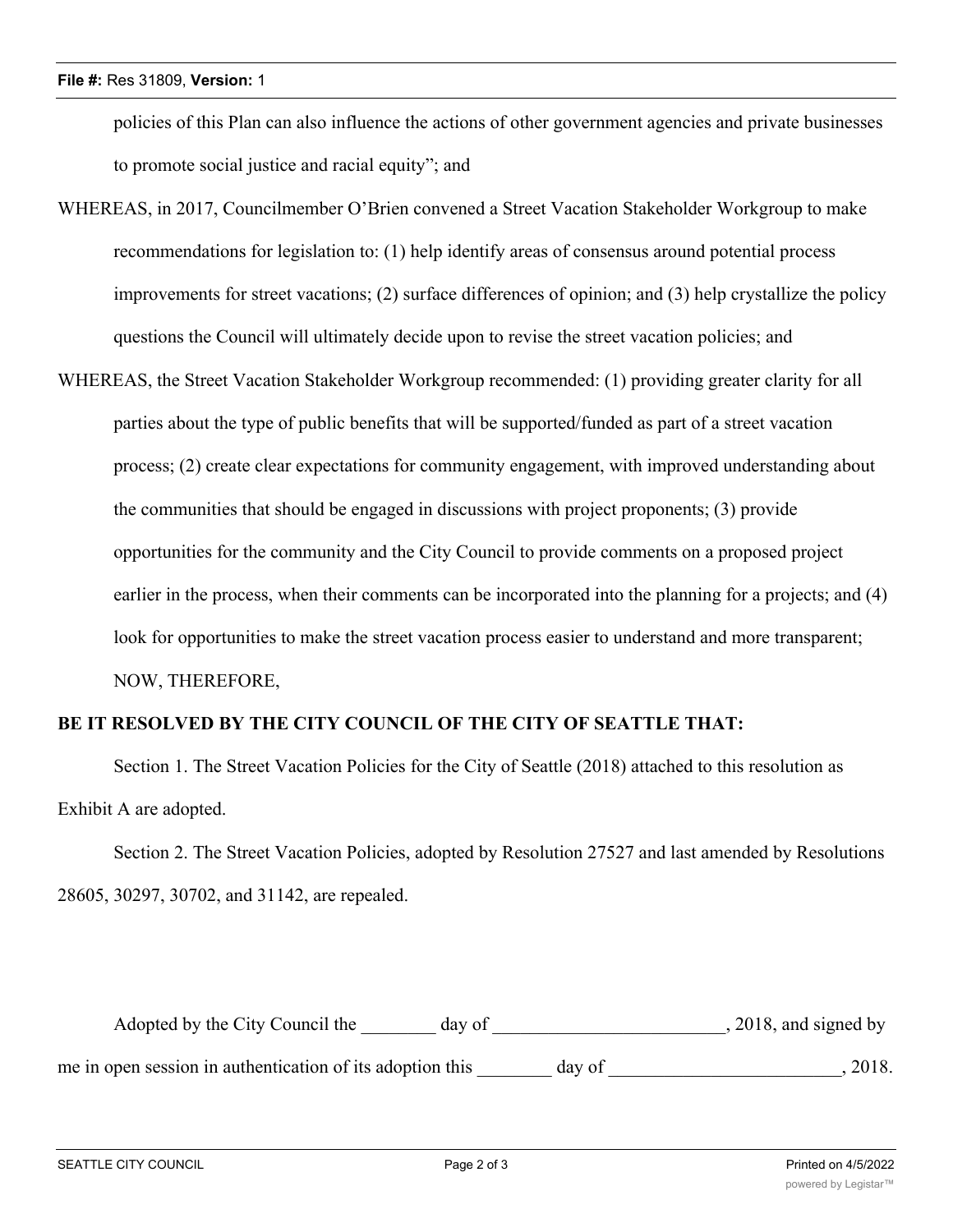policies of this Plan can also influence the actions of other government agencies and private businesses to promote social justice and racial equity"; and

- WHEREAS, in 2017, Councilmember O'Brien convened a Street Vacation Stakeholder Workgroup to make recommendations for legislation to: (1) help identify areas of consensus around potential process improvements for street vacations; (2) surface differences of opinion; and (3) help crystallize the policy questions the Council will ultimately decide upon to revise the street vacation policies; and
- WHEREAS, the Street Vacation Stakeholder Workgroup recommended: (1) providing greater clarity for all parties about the type of public benefits that will be supported/funded as part of a street vacation process; (2) create clear expectations for community engagement, with improved understanding about the communities that should be engaged in discussions with project proponents; (3) provide opportunities for the community and the City Council to provide comments on a proposed project earlier in the process, when their comments can be incorporated into the planning for a projects; and (4) look for opportunities to make the street vacation process easier to understand and more transparent; NOW, THEREFORE,

## **BE IT RESOLVED BY THE CITY COUNCIL OF THE CITY OF SEATTLE THAT:**

Section 1. The Street Vacation Policies for the City of Seattle (2018) attached to this resolution as Exhibit A are adopted.

Section 2. The Street Vacation Policies, adopted by Resolution 27527 and last amended by Resolutions 28605, 30297, 30702, and 31142, are repealed.

| Adopted by the City Council the                           | day of |        | , 2018, and signed by |
|-----------------------------------------------------------|--------|--------|-----------------------|
| me in open session in authentication of its adoption this |        | day of | 2018.                 |